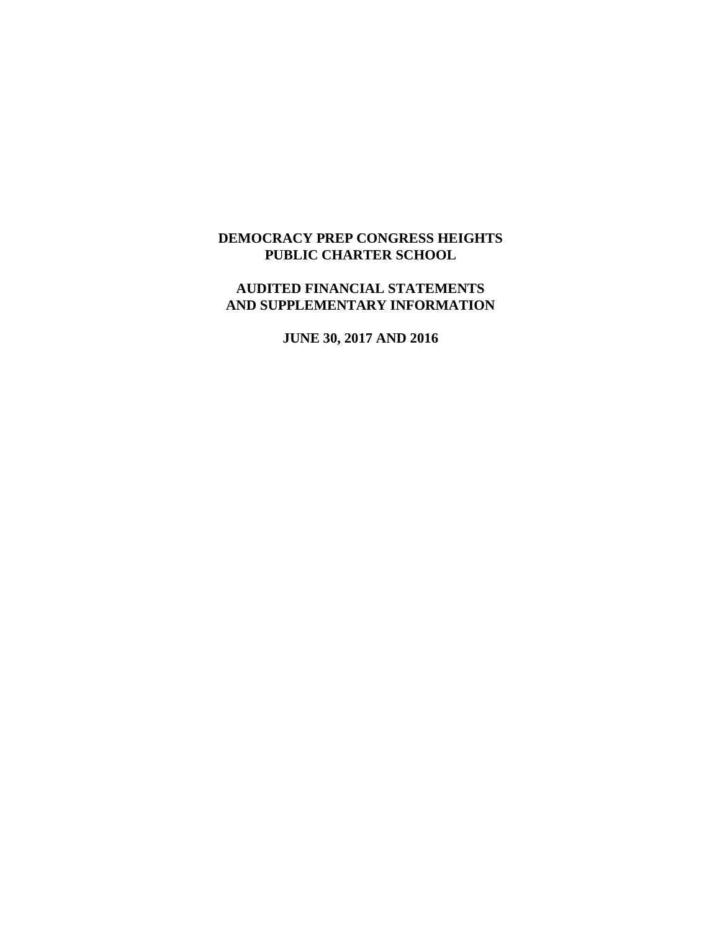## **DEMOCRACY PREP CONGRESS HEIGHTS PUBLIC CHARTER SCHOOL**

## **AUDITED FINANCIAL STATEMENTS AND SUPPLEMENTARY INFORMATION**

**JUNE 30, 2017 AND 2016**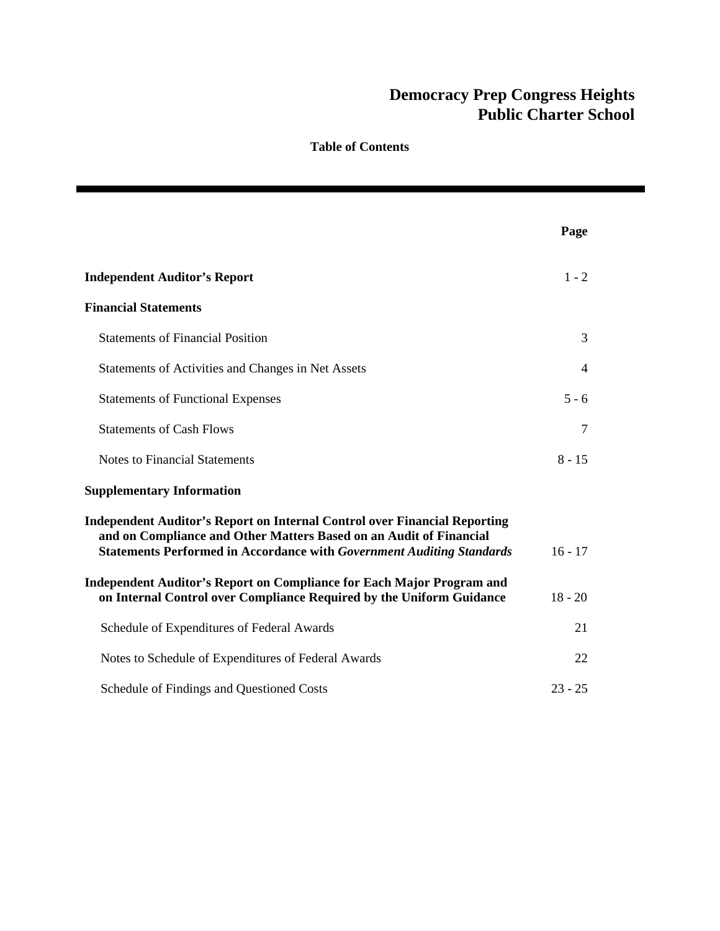|                                                                                                                                                                                                                                        | Page      |
|----------------------------------------------------------------------------------------------------------------------------------------------------------------------------------------------------------------------------------------|-----------|
| <b>Independent Auditor's Report</b>                                                                                                                                                                                                    | $1 - 2$   |
| <b>Financial Statements</b>                                                                                                                                                                                                            |           |
| <b>Statements of Financial Position</b>                                                                                                                                                                                                | 3         |
| Statements of Activities and Changes in Net Assets                                                                                                                                                                                     | 4         |
| <b>Statements of Functional Expenses</b>                                                                                                                                                                                               | $5 - 6$   |
| <b>Statements of Cash Flows</b>                                                                                                                                                                                                        | 7         |
| <b>Notes to Financial Statements</b>                                                                                                                                                                                                   | $8 - 15$  |
| <b>Supplementary Information</b>                                                                                                                                                                                                       |           |
| <b>Independent Auditor's Report on Internal Control over Financial Reporting</b><br>and on Compliance and Other Matters Based on an Audit of Financial<br><b>Statements Performed in Accordance with Government Auditing Standards</b> | $16 - 17$ |
| Independent Auditor's Report on Compliance for Each Major Program and<br>on Internal Control over Compliance Required by the Uniform Guidance                                                                                          | $18 - 20$ |
| Schedule of Expenditures of Federal Awards                                                                                                                                                                                             | 21        |
| Notes to Schedule of Expenditures of Federal Awards                                                                                                                                                                                    | 22        |
| Schedule of Findings and Questioned Costs                                                                                                                                                                                              | $23 - 25$ |

**Table of Contents**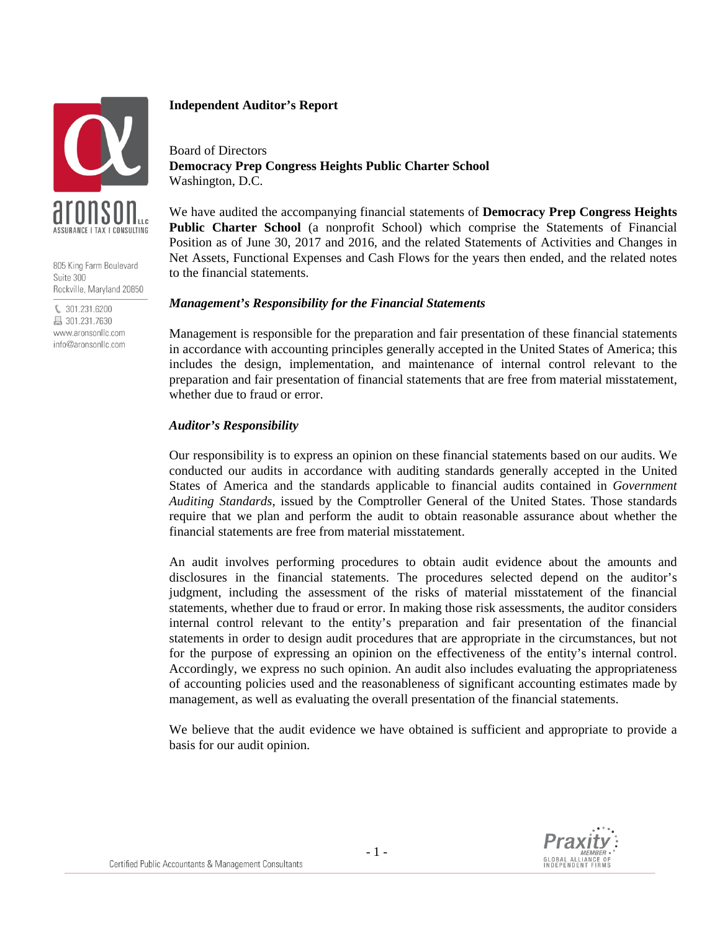

805 King Farm Boulevard Suite 300 Rockville, Maryland 20850

€ 301.231.6200 昌 301.231.7630 www.aronsonllc.com info@aronsonllc.com

### **Independent Auditor's Report**

Board of Directors **Democracy Prep Congress Heights Public Charter School** Washington, D.C.

We have audited the accompanying financial statements of **Democracy Prep Congress Heights Public Charter School** (a nonprofit School) which comprise the Statements of Financial Position as of June 30, 2017 and 2016, and the related Statements of Activities and Changes in Net Assets, Functional Expenses and Cash Flows for the years then ended, and the related notes to the financial statements.

### *Management's Responsibility for the Financial Statements*

Management is responsible for the preparation and fair presentation of these financial statements in accordance with accounting principles generally accepted in the United States of America; this includes the design, implementation, and maintenance of internal control relevant to the preparation and fair presentation of financial statements that are free from material misstatement, whether due to fraud or error.

### *Auditor's Responsibility*

Our responsibility is to express an opinion on these financial statements based on our audits. We conducted our audits in accordance with auditing standards generally accepted in the United States of America and the standards applicable to financial audits contained in *Government Auditing Standards*, issued by the Comptroller General of the United States. Those standards require that we plan and perform the audit to obtain reasonable assurance about whether the financial statements are free from material misstatement.

An audit involves performing procedures to obtain audit evidence about the amounts and disclosures in the financial statements. The procedures selected depend on the auditor's judgment, including the assessment of the risks of material misstatement of the financial statements, whether due to fraud or error. In making those risk assessments, the auditor considers internal control relevant to the entity's preparation and fair presentation of the financial statements in order to design audit procedures that are appropriate in the circumstances, but not for the purpose of expressing an opinion on the effectiveness of the entity's internal control. Accordingly, we express no such opinion. An audit also includes evaluating the appropriateness of accounting policies used and the reasonableness of significant accounting estimates made by management, as well as evaluating the overall presentation of the financial statements.

We believe that the audit evidence we have obtained is sufficient and appropriate to provide a basis for our audit opinion.

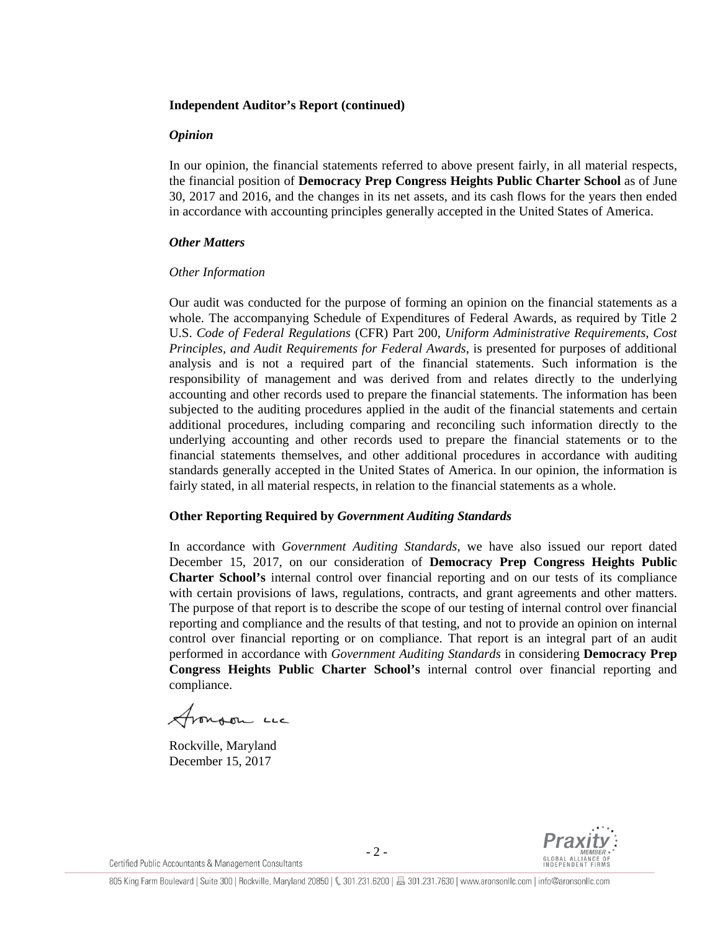#### **Independent Auditor's Report (continued)**

#### *Opinion*

In our opinion, the financial statements referred to above present fairly, in all material respects, the financial position of **Democracy Prep Congress Heights Public Charter School** as of June 30, 2017 and 2016, and the changes in its net assets, and its cash flows for the years then ended in accordance with accounting principles generally accepted in the United States of America.

### *Other Matters*

### *Other Information*

Our audit was conducted for the purpose of forming an opinion on the financial statements as a whole. The accompanying Schedule of Expenditures of Federal Awards, as required by Title 2 U.S. *Code of Federal Regulations* (CFR) Part 200, *Uniform Administrative Requirements, Cost Principles, and Audit Requirements for Federal Awards*, is presented for purposes of additional analysis and is not a required part of the financial statements. Such information is the responsibility of management and was derived from and relates directly to the underlying accounting and other records used to prepare the financial statements. The information has been subjected to the auditing procedures applied in the audit of the financial statements and certain additional procedures, including comparing and reconciling such information directly to the underlying accounting and other records used to prepare the financial statements or to the financial statements themselves, and other additional procedures in accordance with auditing standards generally accepted in the United States of America. In our opinion, the information is fairly stated, in all material respects, in relation to the financial statements as a whole.

### **Other Reporting Required by** *Government Auditing Standards*

In accordance with *Government Auditing Standards*, we have also issued our report dated December 15, 2017, on our consideration of **Democracy Prep Congress Heights Public Charter School's** internal control over financial reporting and on our tests of its compliance with certain provisions of laws, regulations, contracts, and grant agreements and other matters. The purpose of that report is to describe the scope of our testing of internal control over financial reporting and compliance and the results of that testing, and not to provide an opinion on internal control over financial reporting or on compliance. That report is an integral part of an audit performed in accordance with *Government Auditing Standards* in considering **Democracy Prep Congress Heights Public Charter School's** internal control over financial reporting and compliance.

Aronson Luc

Rockville, Maryland December 15, 2017

Certified Public Accountants & Management Consultants

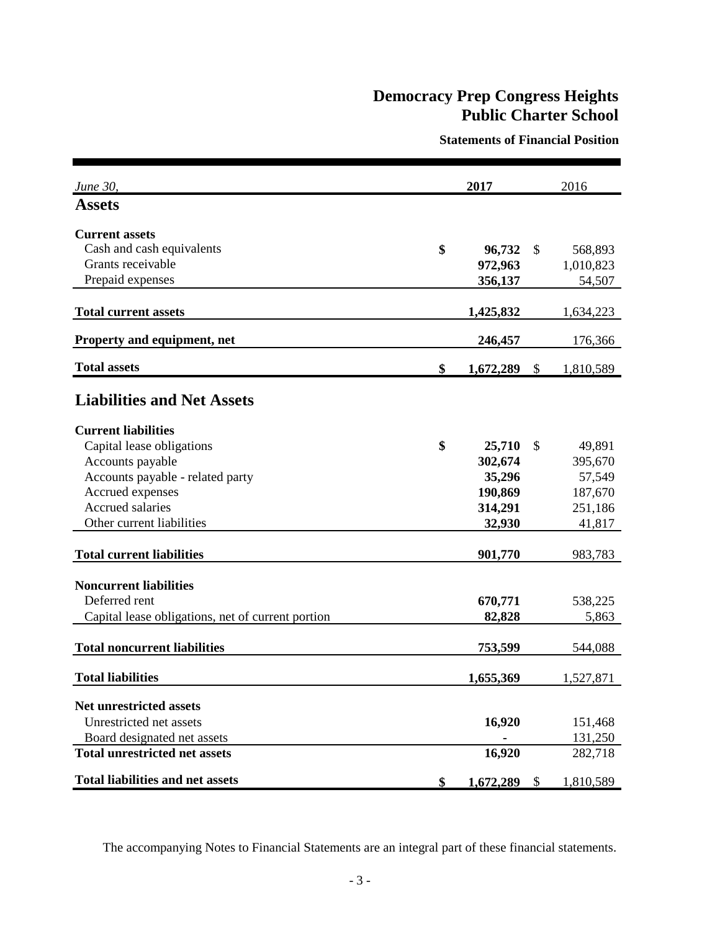**Statements of Financial Position**

| June 30,                                          | 2017            | 2016                      |           |  |
|---------------------------------------------------|-----------------|---------------------------|-----------|--|
| <b>Assets</b>                                     |                 |                           |           |  |
| <b>Current assets</b>                             |                 |                           |           |  |
| Cash and cash equivalents                         | \$<br>96,732    | \$                        | 568,893   |  |
| Grants receivable                                 | 972,963         |                           | 1,010,823 |  |
| Prepaid expenses                                  | 356,137         |                           | 54,507    |  |
| <b>Total current assets</b>                       | 1,425,832       |                           | 1,634,223 |  |
| Property and equipment, net                       | 246,457         |                           | 176,366   |  |
| <b>Total assets</b>                               | \$<br>1,672,289 | $\mathcal{S}$             | 1,810,589 |  |
| <b>Liabilities and Net Assets</b>                 |                 |                           |           |  |
| <b>Current liabilities</b>                        |                 |                           |           |  |
| Capital lease obligations                         | \$<br>25,710    | \$                        | 49,891    |  |
| Accounts payable                                  | 302,674         |                           | 395,670   |  |
| Accounts payable - related party                  | 35,296          |                           | 57,549    |  |
| Accrued expenses                                  | 190,869         |                           | 187,670   |  |
| Accrued salaries                                  | 314,291         |                           | 251,186   |  |
| Other current liabilities                         | 32,930          |                           | 41,817    |  |
| <b>Total current liabilities</b>                  | 901,770         |                           | 983,783   |  |
| <b>Noncurrent liabilities</b>                     |                 |                           |           |  |
| Deferred rent                                     | 670,771         |                           | 538,225   |  |
| Capital lease obligations, net of current portion | 82,828          |                           | 5,863     |  |
|                                                   |                 |                           |           |  |
| <b>Total noncurrent liabilities</b>               | 753,599         |                           | 544,088   |  |
| <b>Total liabilities</b>                          | 1,655,369       |                           | 1,527,871 |  |
| <b>Net unrestricted assets</b>                    |                 |                           |           |  |
| Unrestricted net assets                           | 16,920          |                           | 151,468   |  |
| Board designated net assets                       |                 |                           | 131,250   |  |
| <b>Total unrestricted net assets</b>              | 16,920          |                           | 282,718   |  |
| <b>Total liabilities and net assets</b>           | \$<br>1,672,289 | $\boldsymbol{\mathsf{S}}$ | 1,810,589 |  |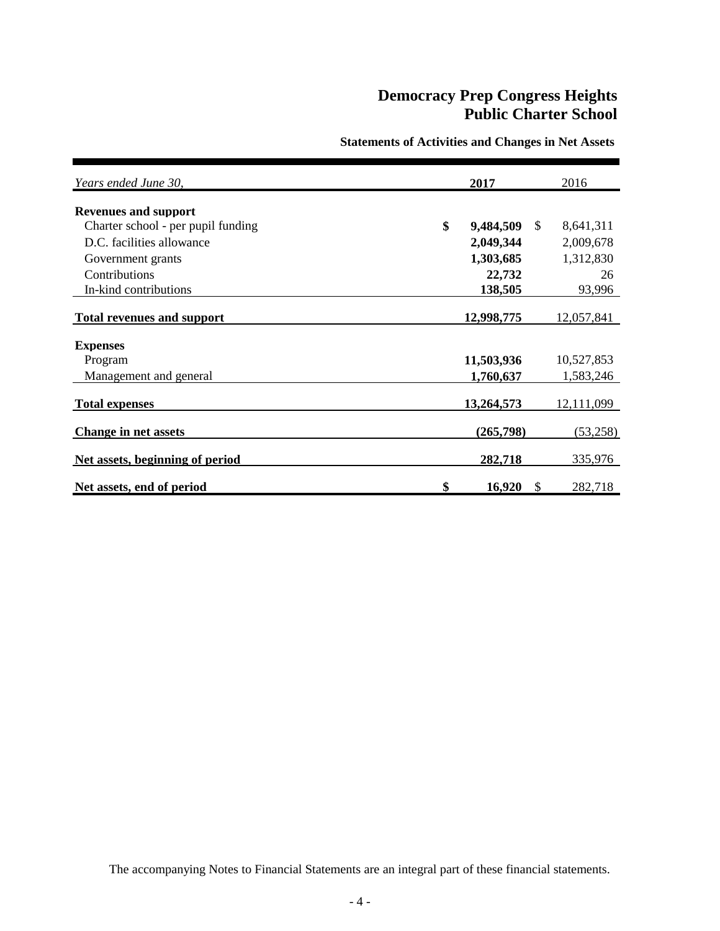| Years ended June 30,               | 2017            |               | 2016       |
|------------------------------------|-----------------|---------------|------------|
| <b>Revenues and support</b>        |                 |               |            |
| Charter school - per pupil funding | \$<br>9,484,509 | <sup>\$</sup> | 8,641,311  |
| D.C. facilities allowance          | 2,049,344       |               | 2,009,678  |
| Government grants                  | 1,303,685       |               | 1,312,830  |
| Contributions                      | 22,732          |               | 26         |
| In-kind contributions              | 138,505         |               | 93,996     |
| <b>Total revenues and support</b>  | 12,998,775      |               | 12,057,841 |
| <b>Expenses</b>                    |                 |               |            |
| Program                            | 11,503,936      |               | 10,527,853 |
| Management and general             | 1,760,637       |               | 1,583,246  |
| <b>Total expenses</b>              | 13,264,573      |               | 12,111,099 |
| <b>Change in net assets</b>        | (265,798)       |               | (53,258)   |
| Net assets, beginning of period    | 282,718         |               | 335,976    |
| Net assets, end of period          | \$<br>16,920    | \$            | 282,718    |

### **Statements of Activities and Changes in Net Assets**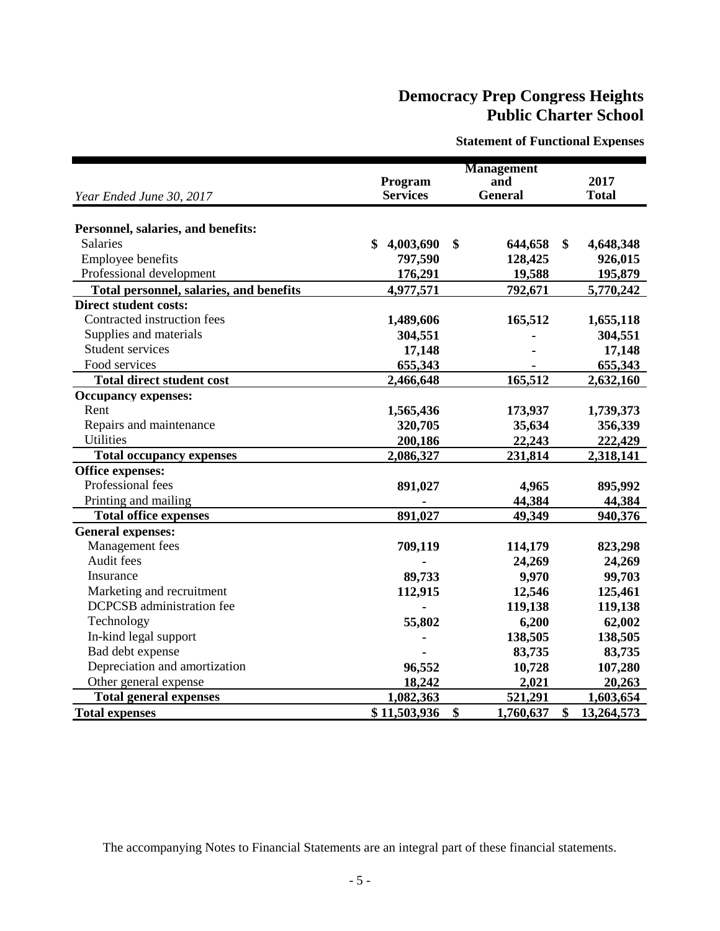**Statement of Functional Expenses**

|                                                |                 | <b>Management</b> |                  |
|------------------------------------------------|-----------------|-------------------|------------------|
|                                                | Program         | and               | 2017             |
| Year Ended June 30, 2017                       | <b>Services</b> | <b>General</b>    | <b>Total</b>     |
|                                                |                 |                   |                  |
| Personnel, salaries, and benefits:             |                 |                   |                  |
| <b>Salaries</b>                                | \$<br>4,003,690 | \$<br>644,658     | \$<br>4,648,348  |
| Employee benefits                              | 797,590         | 128,425           | 926,015          |
| Professional development                       | 176,291         | 19,588            | 195,879          |
| <b>Total personnel, salaries, and benefits</b> | 4,977,571       | 792,671           | 5,770,242        |
| <b>Direct student costs:</b>                   |                 |                   |                  |
| Contracted instruction fees                    | 1,489,606       | 165,512           | 1,655,118        |
| Supplies and materials                         | 304,551         |                   | 304,551          |
| <b>Student services</b>                        | 17,148          |                   | 17,148           |
| Food services                                  | 655,343         |                   | 655,343          |
| <b>Total direct student cost</b>               | 2,466,648       | 165,512           | 2,632,160        |
| <b>Occupancy expenses:</b>                     |                 |                   |                  |
| Rent                                           | 1,565,436       | 173,937           | 1,739,373        |
| Repairs and maintenance                        | 320,705         | 35,634            | 356,339          |
| <b>Utilities</b>                               | 200,186         | 22,243            | 222,429          |
| <b>Total occupancy expenses</b>                | 2,086,327       | 231,814           | 2,318,141        |
| Office expenses:                               |                 |                   |                  |
| Professional fees                              | 891,027         | 4,965             | 895,992          |
| Printing and mailing                           |                 | 44,384            | 44,384           |
| <b>Total office expenses</b>                   | 891,027         | 49,349            | 940,376          |
| <b>General expenses:</b>                       |                 |                   |                  |
| Management fees                                | 709,119         | 114,179           | 823,298          |
| Audit fees                                     |                 | 24,269            | 24,269           |
| Insurance                                      | 89,733          | 9,970             | 99,703           |
| Marketing and recruitment                      | 112,915         | 12,546            | 125,461          |
| <b>DCPCSB</b> administration fee               |                 | 119,138           | 119,138          |
| Technology                                     | 55,802          | 6,200             | 62,002           |
| In-kind legal support                          |                 | 138,505           | 138,505          |
| Bad debt expense                               |                 | 83,735            | 83,735           |
| Depreciation and amortization                  | 96,552          | 10,728            | 107,280          |
| Other general expense                          | 18,242          | 2,021             | 20,263           |
| <b>Total general expenses</b>                  | 1,082,363       | 521,291           | 1,603,654        |
| <b>Total expenses</b>                          | \$11,503,936    | \$<br>1,760,637   | \$<br>13,264,573 |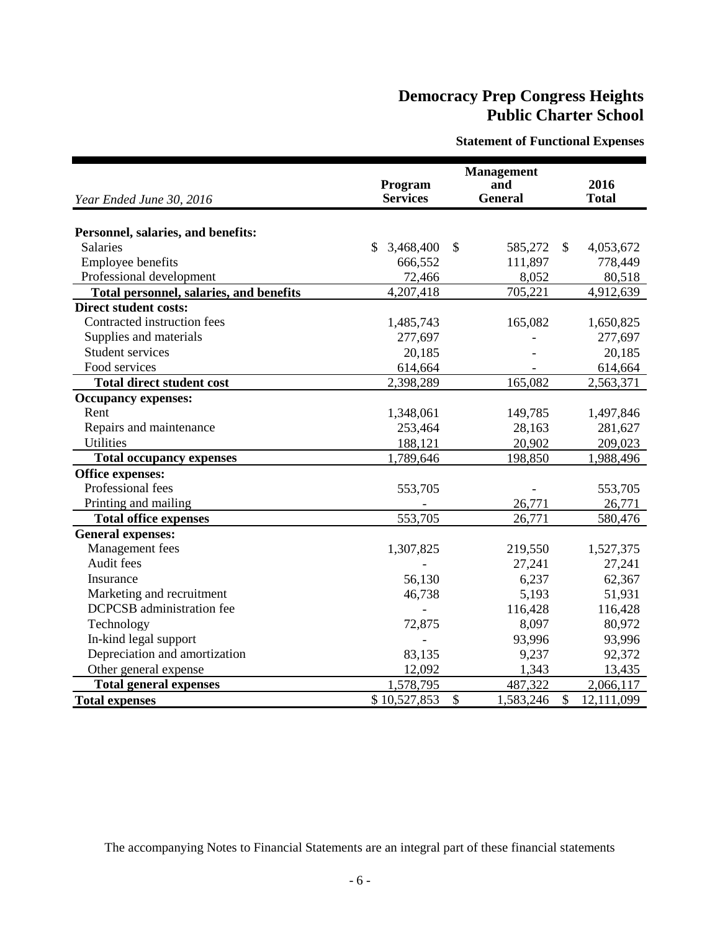**Statement of Functional Expenses**

| Year Ended June 30, 2016                       | Program<br><b>Services</b> | <b>Management</b><br>and<br><b>General</b> | 2016<br><b>Total</b>        |
|------------------------------------------------|----------------------------|--------------------------------------------|-----------------------------|
|                                                |                            |                                            |                             |
| Personnel, salaries, and benefits:             |                            |                                            |                             |
| <b>Salaries</b>                                | \$<br>3,468,400            | \$<br>585,272                              | \$<br>4,053,672             |
| <b>Employee benefits</b>                       | 666,552                    | 111,897                                    | 778,449                     |
| Professional development                       | 72,466                     | 8,052                                      | 80,518                      |
| <b>Total personnel, salaries, and benefits</b> | 4,207,418                  | 705,221                                    | 4,912,639                   |
| <b>Direct student costs:</b>                   |                            |                                            |                             |
| Contracted instruction fees                    | 1,485,743                  | 165,082                                    | 1,650,825                   |
| Supplies and materials                         | 277,697                    |                                            | 277,697                     |
| <b>Student services</b>                        | 20,185                     |                                            | 20,185                      |
| Food services                                  | 614,664                    |                                            | 614,664                     |
| <b>Total direct student cost</b>               | 2,398,289                  | 165,082                                    | 2,563,371                   |
| <b>Occupancy expenses:</b>                     |                            |                                            |                             |
| Rent                                           | 1,348,061                  | 149,785                                    | 1,497,846                   |
| Repairs and maintenance                        | 253,464                    | 28,163                                     | 281,627                     |
| <b>Utilities</b>                               | 188,121                    | 20,902                                     | 209,023                     |
| <b>Total occupancy expenses</b>                | 1,789,646                  | 198,850                                    | 1,988,496                   |
| Office expenses:                               |                            |                                            |                             |
| Professional fees                              | 553,705                    |                                            | 553,705                     |
| Printing and mailing                           |                            | 26,771                                     | 26,771                      |
| <b>Total office expenses</b>                   | 553,705                    | 26,771                                     | 580,476                     |
| <b>General expenses:</b>                       |                            |                                            |                             |
| Management fees                                | 1,307,825                  | 219,550                                    | 1,527,375                   |
| Audit fees                                     |                            | 27,241                                     | 27,241                      |
| Insurance                                      | 56,130                     | 6,237                                      | 62,367                      |
| Marketing and recruitment                      | 46,738                     | 5,193                                      | 51,931                      |
| <b>DCPCSB</b> administration fee               |                            | 116,428                                    | 116,428                     |
| Technology                                     | 72,875                     | 8,097                                      | 80,972                      |
| In-kind legal support                          |                            | 93,996                                     | 93,996                      |
| Depreciation and amortization                  | 83,135                     | 92,372<br>9,237                            |                             |
| Other general expense                          | 12,092                     | 1,343                                      | 13,435                      |
| <b>Total general expenses</b>                  | 1,578,795                  | 487,322                                    | 2,066,117                   |
| <b>Total expenses</b>                          | \$10,527,853               | $\mathcal{S}$<br>1,583,246                 | $\mathcal{S}$<br>12,111,099 |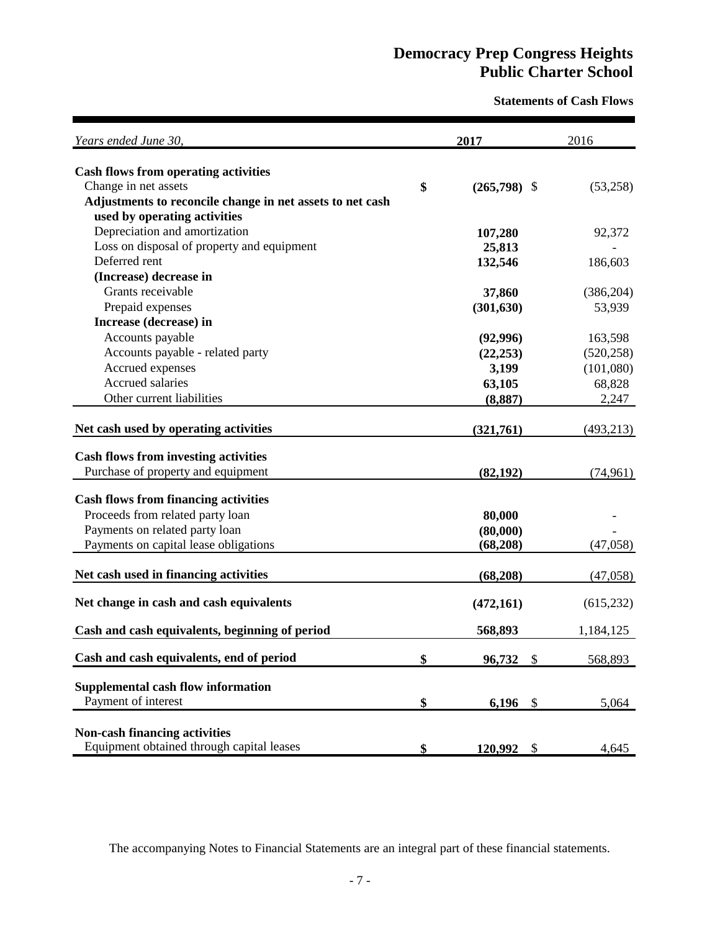**Statements of Cash Flows**

| Years ended June 30,                                      | 2017 |                                     | 2016       |
|-----------------------------------------------------------|------|-------------------------------------|------------|
| <b>Cash flows from operating activities</b>               |      |                                     |            |
| Change in net assets                                      | \$   | $(265,798)$ \$                      | (53,258)   |
| Adjustments to reconcile change in net assets to net cash |      |                                     |            |
| used by operating activities                              |      |                                     |            |
| Depreciation and amortization                             |      | 107,280                             | 92,372     |
| Loss on disposal of property and equipment                |      | 25,813                              |            |
| Deferred rent                                             |      | 132,546                             | 186,603    |
| (Increase) decrease in                                    |      |                                     |            |
| Grants receivable                                         |      | 37,860                              | (386, 204) |
| Prepaid expenses                                          |      | (301, 630)                          | 53,939     |
| Increase (decrease) in                                    |      |                                     |            |
| Accounts payable                                          |      | (92,996)                            | 163,598    |
| Accounts payable - related party                          |      | (22, 253)                           | (520, 258) |
| Accrued expenses                                          |      | 3,199                               | (101,080)  |
| Accrued salaries                                          |      | 63,105                              | 68,828     |
| Other current liabilities                                 |      | (8, 887)                            | 2,247      |
|                                                           |      |                                     |            |
| Net cash used by operating activities                     |      | (321,761)                           | (493, 213) |
| <b>Cash flows from investing activities</b>               |      |                                     |            |
| Purchase of property and equipment                        |      | (82, 192)                           | (74, 961)  |
| <b>Cash flows from financing activities</b>               |      |                                     |            |
| Proceeds from related party loan                          |      | 80,000                              |            |
| Payments on related party loan                            |      | (80,000)                            |            |
| Payments on capital lease obligations                     |      | (68, 208)                           | (47,058)   |
|                                                           |      |                                     |            |
| Net cash used in financing activities                     |      | (68, 208)                           | (47,058)   |
| Net change in cash and cash equivalents                   |      | (472, 161)                          | (615, 232) |
| Cash and cash equivalents, beginning of period            |      | 568,893                             | 1,184,125  |
| Cash and cash equivalents, end of period                  | \$   | 96,732<br>$\boldsymbol{\mathsf{S}}$ | 568,893    |
|                                                           |      |                                     |            |
| Supplemental cash flow information                        |      |                                     |            |
| Payment of interest                                       | \$   | 6,196 $\frac{1}{2}$                 | 5,064      |
|                                                           |      |                                     |            |
| <b>Non-cash financing activities</b>                      |      |                                     |            |
| Equipment obtained through capital leases                 | \$   | 120,992<br>$\mathcal{S}$            | 4,645      |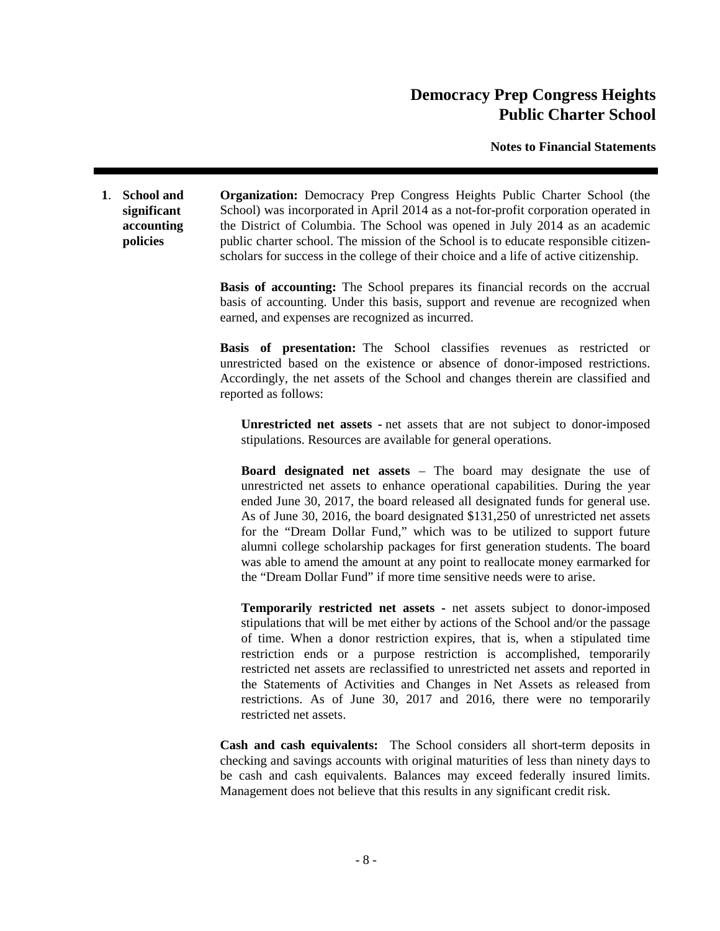**Notes to Financial Statements**

**1**. **School and significant accounting policies Organization:** Democracy Prep Congress Heights Public Charter School (the School) was incorporated in April 2014 as a not-for-profit corporation operated in the District of Columbia. The School was opened in July 2014 as an academic public charter school. The mission of the School is to educate responsible citizenscholars for success in the college of their choice and a life of active citizenship.

> **Basis of accounting:** The School prepares its financial records on the accrual basis of accounting. Under this basis, support and revenue are recognized when earned, and expenses are recognized as incurred.

> **Basis of presentation:** The School classifies revenues as restricted or unrestricted based on the existence or absence of donor-imposed restrictions. Accordingly, the net assets of the School and changes therein are classified and reported as follows:

**Unrestricted net assets -** net assets that are not subject to donor-imposed stipulations. Resources are available for general operations.

**Board designated net assets** – The board may designate the use of unrestricted net assets to enhance operational capabilities. During the year ended June 30, 2017, the board released all designated funds for general use. As of June 30, 2016, the board designated \$131,250 of unrestricted net assets for the "Dream Dollar Fund," which was to be utilized to support future alumni college scholarship packages for first generation students. The board was able to amend the amount at any point to reallocate money earmarked for the "Dream Dollar Fund" if more time sensitive needs were to arise.

**Temporarily restricted net assets -** net assets subject to donor-imposed stipulations that will be met either by actions of the School and/or the passage of time. When a donor restriction expires, that is, when a stipulated time restriction ends or a purpose restriction is accomplished, temporarily restricted net assets are reclassified to unrestricted net assets and reported in the Statements of Activities and Changes in Net Assets as released from restrictions. As of June 30, 2017 and 2016, there were no temporarily restricted net assets.

**Cash and cash equivalents:** The School considers all short-term deposits in checking and savings accounts with original maturities of less than ninety days to be cash and cash equivalents. Balances may exceed federally insured limits. Management does not believe that this results in any significant credit risk.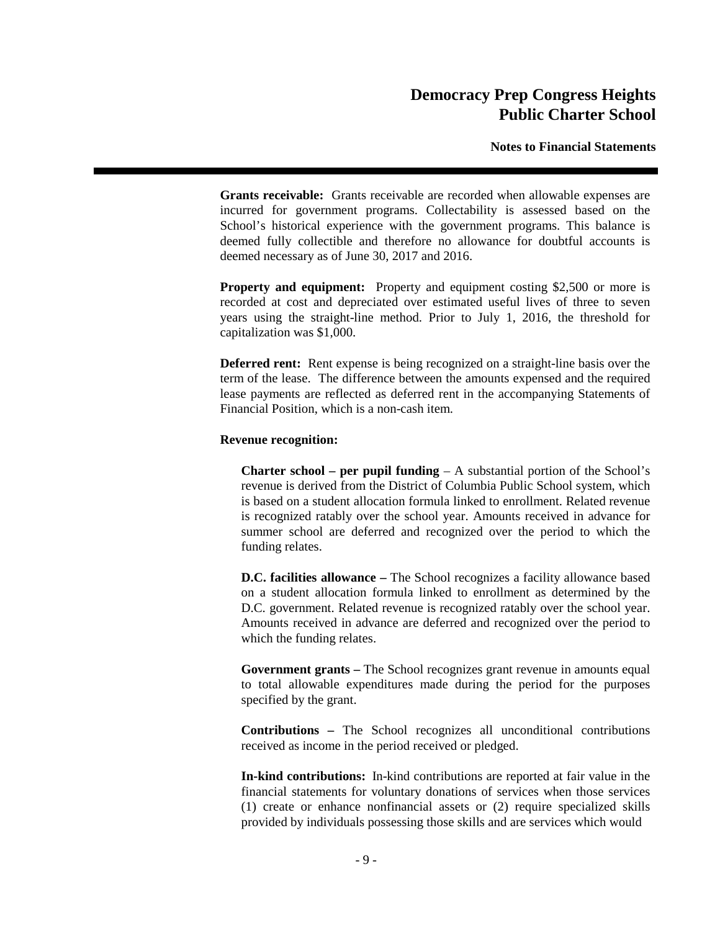**Notes to Financial Statements**

**Grants receivable:** Grants receivable are recorded when allowable expenses are incurred for government programs. Collectability is assessed based on the School's historical experience with the government programs. This balance is deemed fully collectible and therefore no allowance for doubtful accounts is deemed necessary as of June 30, 2017 and 2016.

**Property and equipment:** Property and equipment costing \$2,500 or more is recorded at cost and depreciated over estimated useful lives of three to seven years using the straight-line method. Prior to July 1, 2016, the threshold for capitalization was \$1,000.

**Deferred rent:** Rent expense is being recognized on a straight-line basis over the term of the lease. The difference between the amounts expensed and the required lease payments are reflected as deferred rent in the accompanying Statements of Financial Position, which is a non-cash item.

### **Revenue recognition:**

**Charter school – per pupil funding** – A substantial portion of the School's revenue is derived from the District of Columbia Public School system, which is based on a student allocation formula linked to enrollment. Related revenue is recognized ratably over the school year. Amounts received in advance for summer school are deferred and recognized over the period to which the funding relates.

**D.C. facilities allowance –** The School recognizes a facility allowance based on a student allocation formula linked to enrollment as determined by the D.C. government. Related revenue is recognized ratably over the school year. Amounts received in advance are deferred and recognized over the period to which the funding relates.

**Government grants –** The School recognizes grant revenue in amounts equal to total allowable expenditures made during the period for the purposes specified by the grant.

**Contributions –** The School recognizes all unconditional contributions received as income in the period received or pledged.

**In-kind contributions:** In-kind contributions are reported at fair value in the financial statements for voluntary donations of services when those services (1) create or enhance nonfinancial assets or (2) require specialized skills provided by individuals possessing those skills and are services which would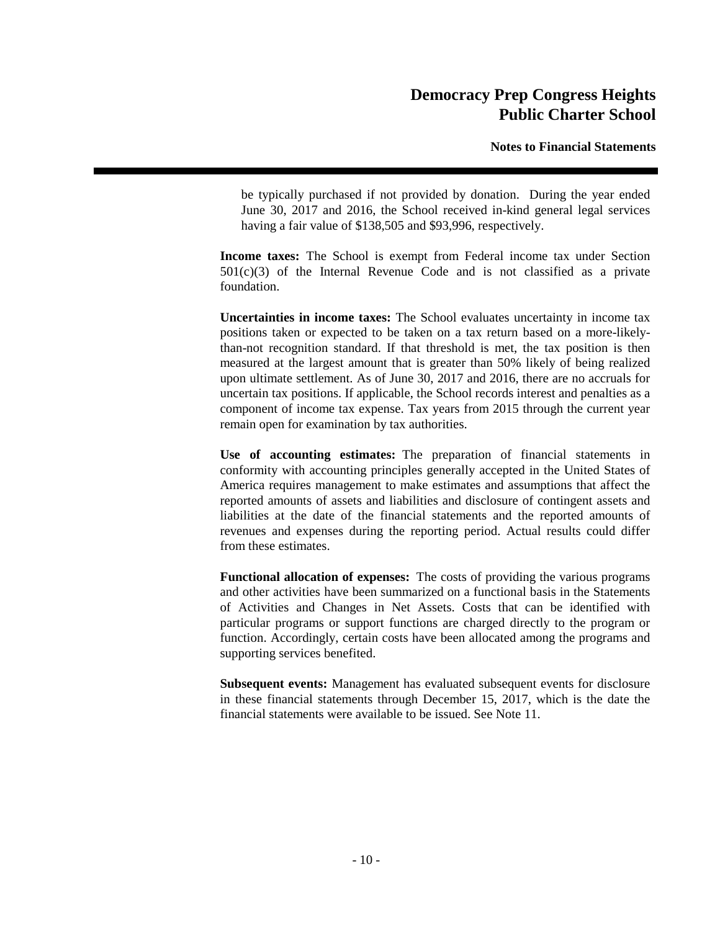**Notes to Financial Statements**

be typically purchased if not provided by donation. During the year ended June 30, 2017 and 2016, the School received in-kind general legal services having a fair value of \$138,505 and \$93,996, respectively.

**Income taxes:** The School is exempt from Federal income tax under Section  $501(c)(3)$  of the Internal Revenue Code and is not classified as a private foundation.

**Uncertainties in income taxes:** The School evaluates uncertainty in income tax positions taken or expected to be taken on a tax return based on a more-likelythan-not recognition standard. If that threshold is met, the tax position is then measured at the largest amount that is greater than 50% likely of being realized upon ultimate settlement. As of June 30, 2017 and 2016, there are no accruals for uncertain tax positions. If applicable, the School records interest and penalties as a component of income tax expense. Tax years from 2015 through the current year remain open for examination by tax authorities.

**Use of accounting estimates:** The preparation of financial statements in conformity with accounting principles generally accepted in the United States of America requires management to make estimates and assumptions that affect the reported amounts of assets and liabilities and disclosure of contingent assets and liabilities at the date of the financial statements and the reported amounts of revenues and expenses during the reporting period. Actual results could differ from these estimates.

**Functional allocation of expenses:** The costs of providing the various programs and other activities have been summarized on a functional basis in the Statements of Activities and Changes in Net Assets. Costs that can be identified with particular programs or support functions are charged directly to the program or function. Accordingly, certain costs have been allocated among the programs and supporting services benefited.

**Subsequent events:** Management has evaluated subsequent events for disclosure in these financial statements through December 15, 2017, which is the date the financial statements were available to be issued. See Note 11.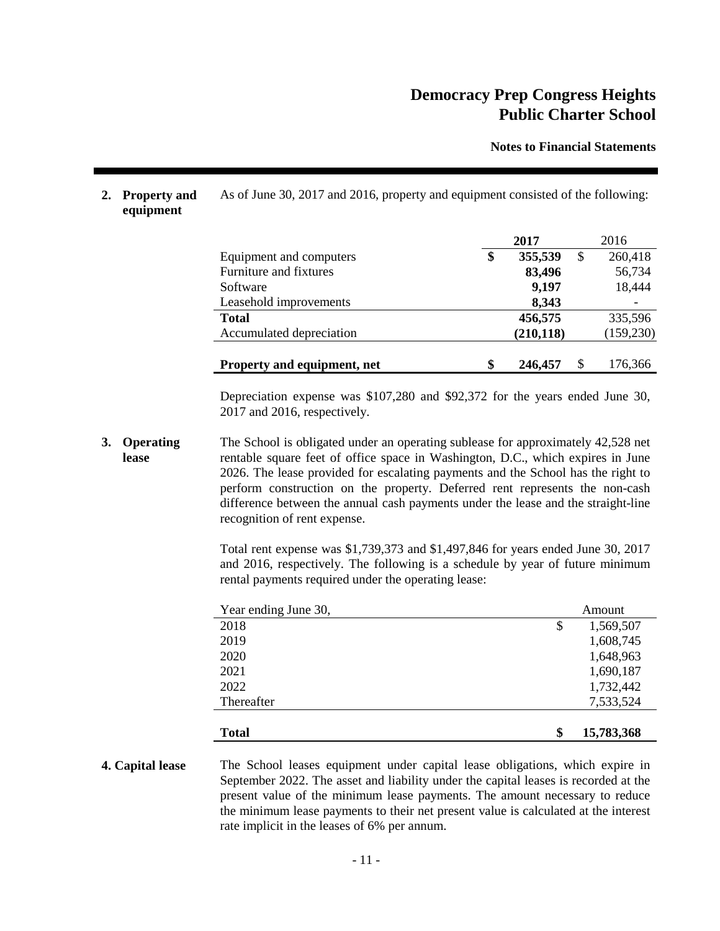**Notes to Financial Statements**

# **2017** 2016 Equipment and computers **\$ 355,539** \$ 260,418 Furniture and fixtures **83,496** 56,734 Software **9,197** 18,444 Leasehold improvements **8,343 Total 456,575** 335,596 Accumulated depreciation **(210,118)** (159,230) **Property and equipment, net \$ 246,457** \$ 176,366

As of June 30, 2017 and 2016, property and equipment consisted of the following:

Depreciation expense was \$107,280 and \$92,372 for the years ended June 30, 2017 and 2016, respectively.

**3. Operating lease** The School is obligated under an operating sublease for approximately 42,528 net rentable square feet of office space in Washington, D.C., which expires in June 2026. The lease provided for escalating payments and the School has the right to perform construction on the property. Deferred rent represents the non-cash difference between the annual cash payments under the lease and the straight-line recognition of rent expense.

**2. Property and equipment**

> Total rent expense was \$1,739,373 and \$1,497,846 for years ended June 30, 2017 and 2016, respectively. The following is a schedule by year of future minimum rental payments required under the operating lease:

| Year ending June 30, | Amount           |  |
|----------------------|------------------|--|
| 2018                 | \$<br>1,569,507  |  |
| 2019                 | 1,608,745        |  |
| 2020                 | 1,648,963        |  |
| 2021                 | 1,690,187        |  |
| 2022                 | 1,732,442        |  |
| Thereafter           | 7,533,524        |  |
|                      |                  |  |
| <b>Total</b>         | \$<br>15,783,368 |  |

### **4. Capital lease** The School leases equipment under capital lease obligations, which expire in September 2022. The asset and liability under the capital leases is recorded at the present value of the minimum lease payments. The amount necessary to reduce the minimum lease payments to their net present value is calculated at the interest rate implicit in the leases of 6% per annum.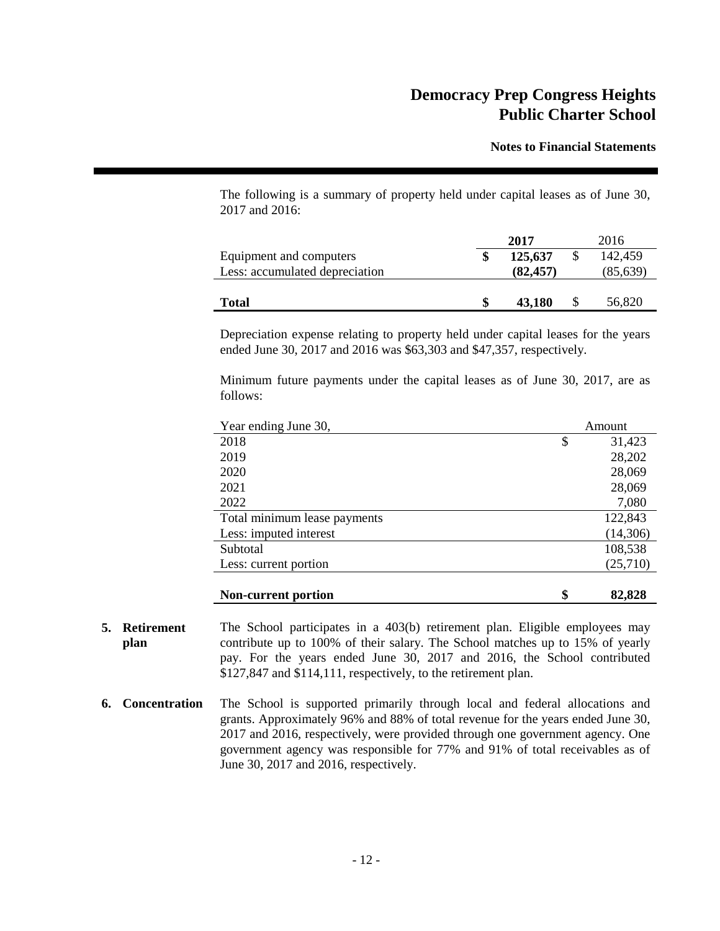**Notes to Financial Statements**

The following is a summary of property held under capital leases as of June 30, 2017 and 2016:

|                                | 2017      | 2016      |
|--------------------------------|-----------|-----------|
| Equipment and computers        | 125,637   | 142,459   |
| Less: accumulated depreciation | (82, 457) | (85, 639) |
|                                |           |           |
| <b>Total</b>                   | 43.180    | 56,820    |

Depreciation expense relating to property held under capital leases for the years ended June 30, 2017 and 2016 was \$63,303 and \$47,357, respectively.

Minimum future payments under the capital leases as of June 30, 2017, are as follows:

| Year ending June 30,         | Amount       |  |  |
|------------------------------|--------------|--|--|
| 2018                         | \$<br>31,423 |  |  |
| 2019                         | 28,202       |  |  |
| 2020                         | 28,069       |  |  |
| 2021                         | 28,069       |  |  |
| 2022                         | 7,080        |  |  |
| Total minimum lease payments | 122,843      |  |  |
| Less: imputed interest       | (14,306)     |  |  |
| Subtotal                     | 108,538      |  |  |
| Less: current portion        | (25,710)     |  |  |
| <b>Non-current portion</b>   | \$<br>82,828 |  |  |

- **5. Retirement plan** The School participates in a 403(b) retirement plan. Eligible employees may contribute up to 100% of their salary. The School matches up to 15% of yearly pay. For the years ended June 30, 2017 and 2016, the School contributed \$127,847 and \$114,111, respectively, to the retirement plan.
- **6. Concentration** The School is supported primarily through local and federal allocations and grants. Approximately 96% and 88% of total revenue for the years ended June 30, 2017 and 2016, respectively, were provided through one government agency. One government agency was responsible for 77% and 91% of total receivables as of June 30, 2017 and 2016, respectively.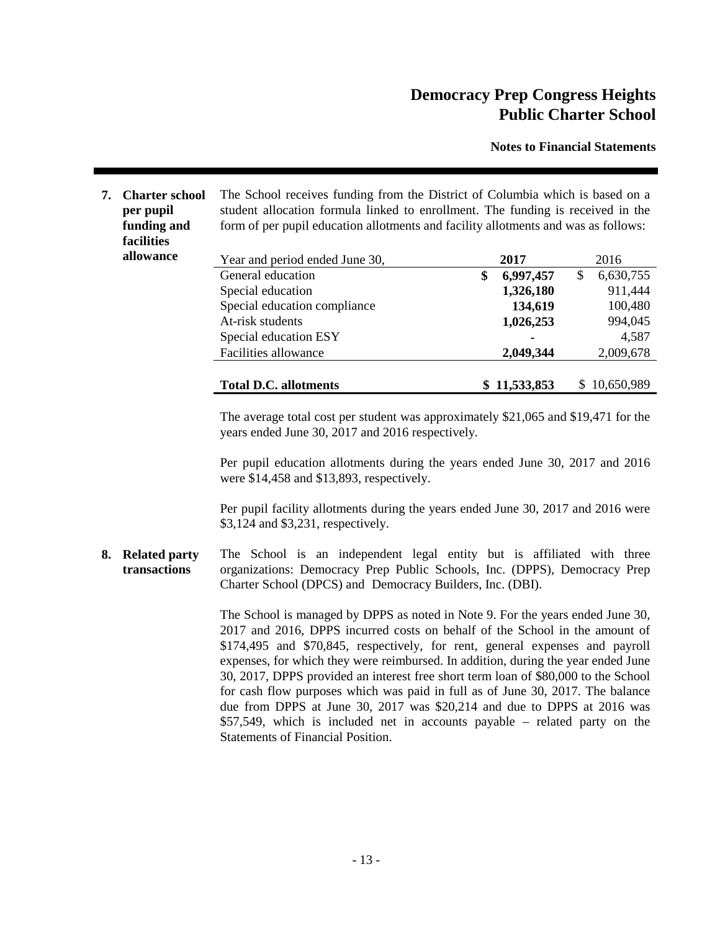**Notes to Financial Statements**

**7. Charter school per pupil funding and facilities** The School receives funding from the District of Columbia which is based on a student allocation formula linked to enrollment. The funding is received in the form of per pupil education allotments and facility allotments and was as follows: **allowance** Year and period ended June 30, **2017** 2016 General education **\$ 6,997,457** \$ 6,630,755 Special education **1,326,180** 911,444 Special education compliance **134,619** 100,480 At-risk students **1,026,253** 994,045 Special education ESY **-** 4,587 Facilities allowance **2,049,344** 2,009,678 **Total D.C. allotments \$ 11,533,853** \$ 10,650,989

> The average total cost per student was approximately \$21,065 and \$19,471 for the years ended June 30, 2017 and 2016 respectively.

> Per pupil education allotments during the years ended June 30, 2017 and 2016 were \$14,458 and \$13,893, respectively.

> Per pupil facility allotments during the years ended June 30, 2017 and 2016 were \$3,124 and \$3,231, respectively.

**8. Related party transactions** The School is an independent legal entity but is affiliated with three organizations: Democracy Prep Public Schools, Inc. (DPPS), Democracy Prep Charter School (DPCS) and Democracy Builders, Inc. (DBI).

> The School is managed by DPPS as noted in Note 9. For the years ended June 30, 2017 and 2016, DPPS incurred costs on behalf of the School in the amount of \$174,495 and \$70,845, respectively, for rent, general expenses and payroll expenses, for which they were reimbursed. In addition, during the year ended June 30, 2017, DPPS provided an interest free short term loan of \$80,000 to the School for cash flow purposes which was paid in full as of June 30, 2017. The balance due from DPPS at June 30, 2017 was \$20,214 and due to DPPS at 2016 was \$57,549, which is included net in accounts payable – related party on the Statements of Financial Position.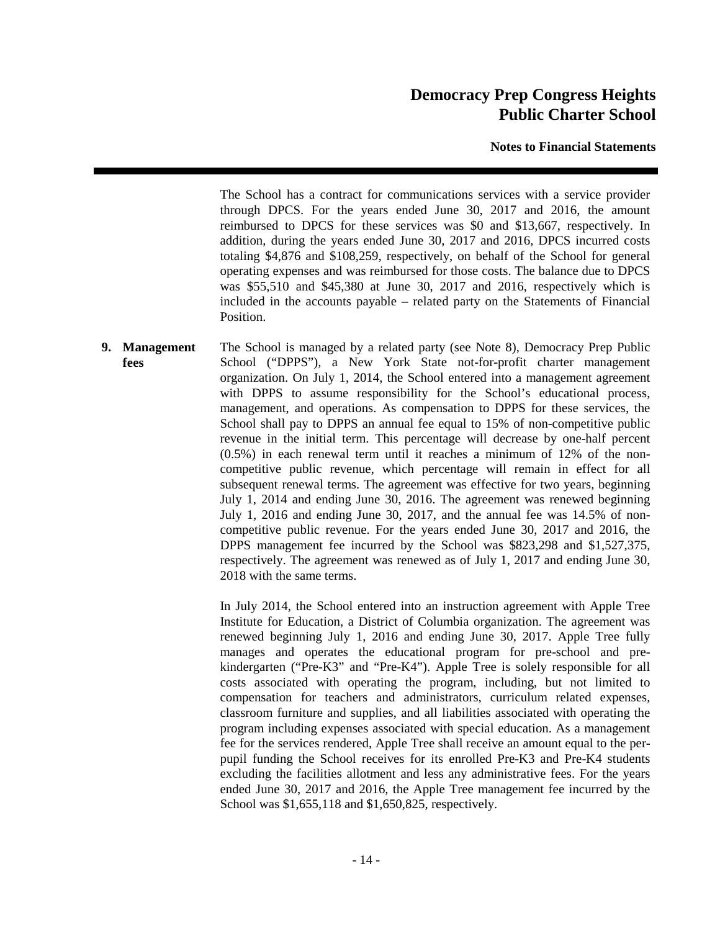**Notes to Financial Statements**

The School has a contract for communications services with a service provider through DPCS. For the years ended June 30, 2017 and 2016, the amount reimbursed to DPCS for these services was \$0 and \$13,667, respectively. In addition, during the years ended June 30, 2017 and 2016, DPCS incurred costs totaling \$4,876 and \$108,259, respectively, on behalf of the School for general operating expenses and was reimbursed for those costs. The balance due to DPCS was \$55,510 and \$45,380 at June 30, 2017 and 2016, respectively which is included in the accounts payable – related party on the Statements of Financial Position.

**9. Management fees** The School is managed by a related party (see Note 8), Democracy Prep Public School ("DPPS"), a New York State not-for-profit charter management organization. On July 1, 2014, the School entered into a management agreement with DPPS to assume responsibility for the School's educational process, management, and operations. As compensation to DPPS for these services, the School shall pay to DPPS an annual fee equal to 15% of non-competitive public revenue in the initial term. This percentage will decrease by one-half percent (0.5%) in each renewal term until it reaches a minimum of 12% of the noncompetitive public revenue, which percentage will remain in effect for all subsequent renewal terms. The agreement was effective for two years, beginning July 1, 2014 and ending June 30, 2016. The agreement was renewed beginning July 1, 2016 and ending June 30, 2017, and the annual fee was 14.5% of noncompetitive public revenue. For the years ended June 30, 2017 and 2016, the DPPS management fee incurred by the School was \$823,298 and \$1,527,375, respectively. The agreement was renewed as of July 1, 2017 and ending June 30, 2018 with the same terms.

> In July 2014, the School entered into an instruction agreement with Apple Tree Institute for Education, a District of Columbia organization. The agreement was renewed beginning July 1, 2016 and ending June 30, 2017. Apple Tree fully manages and operates the educational program for pre-school and prekindergarten ("Pre-K3" and "Pre-K4"). Apple Tree is solely responsible for all costs associated with operating the program, including, but not limited to compensation for teachers and administrators, curriculum related expenses, classroom furniture and supplies, and all liabilities associated with operating the program including expenses associated with special education. As a management fee for the services rendered, Apple Tree shall receive an amount equal to the perpupil funding the School receives for its enrolled Pre-K3 and Pre-K4 students excluding the facilities allotment and less any administrative fees. For the years ended June 30, 2017 and 2016, the Apple Tree management fee incurred by the School was \$1,655,118 and \$1,650,825, respectively.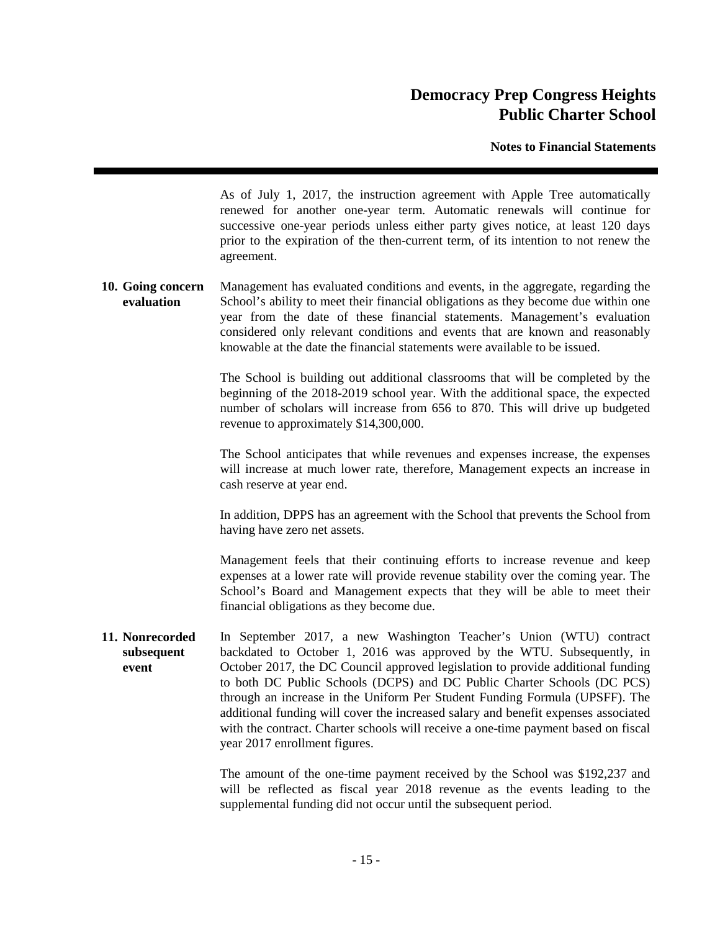**Notes to Financial Statements**

As of July 1, 2017, the instruction agreement with Apple Tree automatically renewed for another one-year term. Automatic renewals will continue for successive one-year periods unless either party gives notice, at least 120 days prior to the expiration of the then-current term, of its intention to not renew the agreement.

**10. Going concern evaluation** Management has evaluated conditions and events, in the aggregate, regarding the School's ability to meet their financial obligations as they become due within one year from the date of these financial statements. Management's evaluation considered only relevant conditions and events that are known and reasonably knowable at the date the financial statements were available to be issued.

> The School is building out additional classrooms that will be completed by the beginning of the 2018-2019 school year. With the additional space, the expected number of scholars will increase from 656 to 870. This will drive up budgeted revenue to approximately \$14,300,000.

> The School anticipates that while revenues and expenses increase, the expenses will increase at much lower rate, therefore, Management expects an increase in cash reserve at year end.

> In addition, DPPS has an agreement with the School that prevents the School from having have zero net assets.

> Management feels that their continuing efforts to increase revenue and keep expenses at a lower rate will provide revenue stability over the coming year. The School's Board and Management expects that they will be able to meet their financial obligations as they become due.

**11. Nonrecorded subsequent event** In September 2017, a new Washington Teacher's Union (WTU) contract backdated to October 1, 2016 was approved by the WTU. Subsequently, in October 2017, the DC Council approved legislation to provide additional funding to both DC Public Schools (DCPS) and DC Public Charter Schools (DC PCS) through an increase in the Uniform Per Student Funding Formula (UPSFF). The additional funding will cover the increased salary and benefit expenses associated with the contract. Charter schools will receive a one-time payment based on fiscal year 2017 enrollment figures.

> The amount of the one-time payment received by the School was \$192,237 and will be reflected as fiscal year 2018 revenue as the events leading to the supplemental funding did not occur until the subsequent period.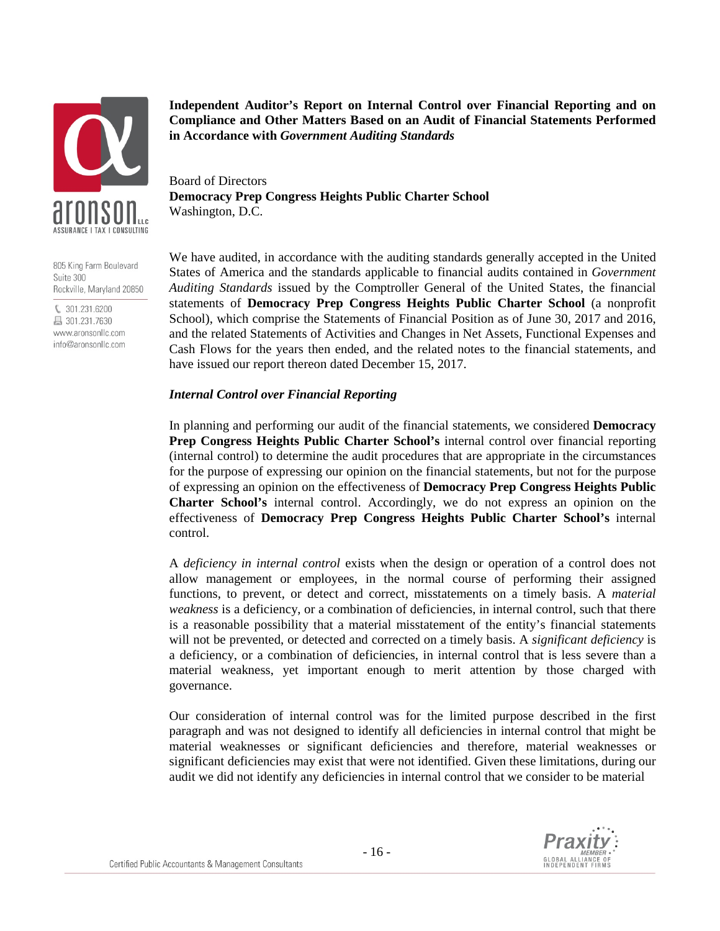

805 King Farm Boulevard Suite 300 Rockville, Maryland 20850

€ 301.231.6200 昌 301.231.7630 www.aronsonllc.com info@aronsonllc.com **Independent Auditor's Report on Internal Control over Financial Reporting and on Compliance and Other Matters Based on an Audit of Financial Statements Performed in Accordance with** *Government Auditing Standards*

Board of Directors **Democracy Prep Congress Heights Public Charter School** Washington, D.C.

We have audited, in accordance with the auditing standards generally accepted in the United States of America and the standards applicable to financial audits contained in *Government Auditing Standards* issued by the Comptroller General of the United States, the financial statements of **Democracy Prep Congress Heights Public Charter School** (a nonprofit School), which comprise the Statements of Financial Position as of June 30, 2017 and 2016, and the related Statements of Activities and Changes in Net Assets, Functional Expenses and Cash Flows for the years then ended, and the related notes to the financial statements, and have issued our report thereon dated December 15, 2017.

#### *Internal Control over Financial Reporting*

In planning and performing our audit of the financial statements, we considered **Democracy Prep Congress Heights Public Charter School's** internal control over financial reporting (internal control) to determine the audit procedures that are appropriate in the circumstances for the purpose of expressing our opinion on the financial statements, but not for the purpose of expressing an opinion on the effectiveness of **Democracy Prep Congress Heights Public Charter School's** internal control. Accordingly, we do not express an opinion on the effectiveness of **Democracy Prep Congress Heights Public Charter School's** internal control.

A *deficiency in internal control* exists when the design or operation of a control does not allow management or employees, in the normal course of performing their assigned functions, to prevent, or detect and correct, misstatements on a timely basis. A *material weakness* is a deficiency, or a combination of deficiencies, in internal control, such that there is a reasonable possibility that a material misstatement of the entity's financial statements will not be prevented, or detected and corrected on a timely basis. A *significant deficiency* is a deficiency, or a combination of deficiencies, in internal control that is less severe than a material weakness, yet important enough to merit attention by those charged with governance.

Our consideration of internal control was for the limited purpose described in the first paragraph and was not designed to identify all deficiencies in internal control that might be material weaknesses or significant deficiencies and therefore, material weaknesses or significant deficiencies may exist that were not identified. Given these limitations, during our audit we did not identify any deficiencies in internal control that we consider to be material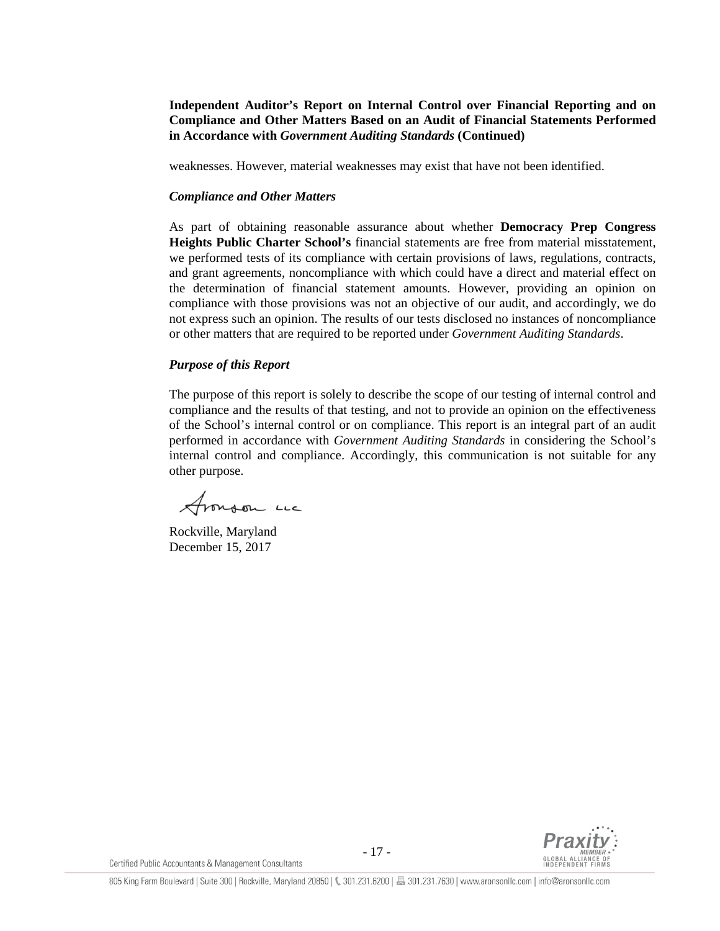**Independent Auditor's Report on Internal Control over Financial Reporting and on Compliance and Other Matters Based on an Audit of Financial Statements Performed in Accordance with** *Government Auditing Standards* **(Continued)**

weaknesses. However, material weaknesses may exist that have not been identified.

#### *Compliance and Other Matters*

As part of obtaining reasonable assurance about whether **Democracy Prep Congress Heights Public Charter School's** financial statements are free from material misstatement, we performed tests of its compliance with certain provisions of laws, regulations, contracts, and grant agreements, noncompliance with which could have a direct and material effect on the determination of financial statement amounts. However, providing an opinion on compliance with those provisions was not an objective of our audit, and accordingly, we do not express such an opinion. The results of our tests disclosed no instances of noncompliance or other matters that are required to be reported under *Government Auditing Standards*.

#### *Purpose of this Report*

The purpose of this report is solely to describe the scope of our testing of internal control and compliance and the results of that testing, and not to provide an opinion on the effectiveness of the School's internal control or on compliance. This report is an integral part of an audit performed in accordance with *Government Auditing Standards* in considering the School's internal control and compliance. Accordingly, this communication is not suitable for any other purpose.

Aronson Luc

Rockville, Maryland December 15, 2017

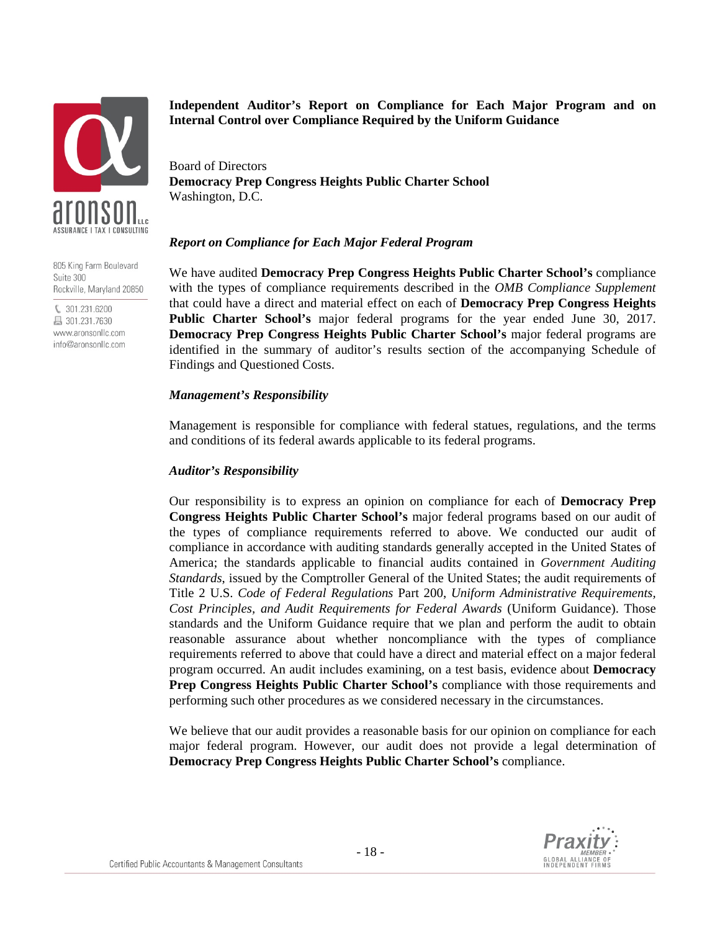

805 King Farm Boulevard Suite 300 Rockville, Maryland 20850

€ 301.231.6200 昌 301.231.7630 www.aronsonllc.com info@aronsonllc.com **Independent Auditor's Report on Compliance for Each Major Program and on Internal Control over Compliance Required by the Uniform Guidance**

Board of Directors **Democracy Prep Congress Heights Public Charter School** Washington, D.C.

#### *Report on Compliance for Each Major Federal Program*

We have audited **Democracy Prep Congress Heights Public Charter School's** compliance with the types of compliance requirements described in the *OMB Compliance Supplement* that could have a direct and material effect on each of **Democracy Prep Congress Heights Public Charter School's** major federal programs for the year ended June 30, 2017. **Democracy Prep Congress Heights Public Charter School's** major federal programs are identified in the summary of auditor's results section of the accompanying Schedule of Findings and Questioned Costs.

#### *Management's Responsibility*

Management is responsible for compliance with federal statues, regulations, and the terms and conditions of its federal awards applicable to its federal programs.

### *Auditor's Responsibility*

Our responsibility is to express an opinion on compliance for each of **Democracy Prep Congress Heights Public Charter School's** major federal programs based on our audit of the types of compliance requirements referred to above. We conducted our audit of compliance in accordance with auditing standards generally accepted in the United States of America; the standards applicable to financial audits contained in *Government Auditing Standards*, issued by the Comptroller General of the United States; the audit requirements of Title 2 U.S. *Code of Federal Regulations* Part 200, *Uniform Administrative Requirements, Cost Principles, and Audit Requirements for Federal Awards* (Uniform Guidance). Those standards and the Uniform Guidance require that we plan and perform the audit to obtain reasonable assurance about whether noncompliance with the types of compliance requirements referred to above that could have a direct and material effect on a major federal program occurred. An audit includes examining, on a test basis, evidence about **Democracy Prep Congress Heights Public Charter School's** compliance with those requirements and performing such other procedures as we considered necessary in the circumstances.

We believe that our audit provides a reasonable basis for our opinion on compliance for each major federal program. However, our audit does not provide a legal determination of **Democracy Prep Congress Heights Public Charter School's** compliance.

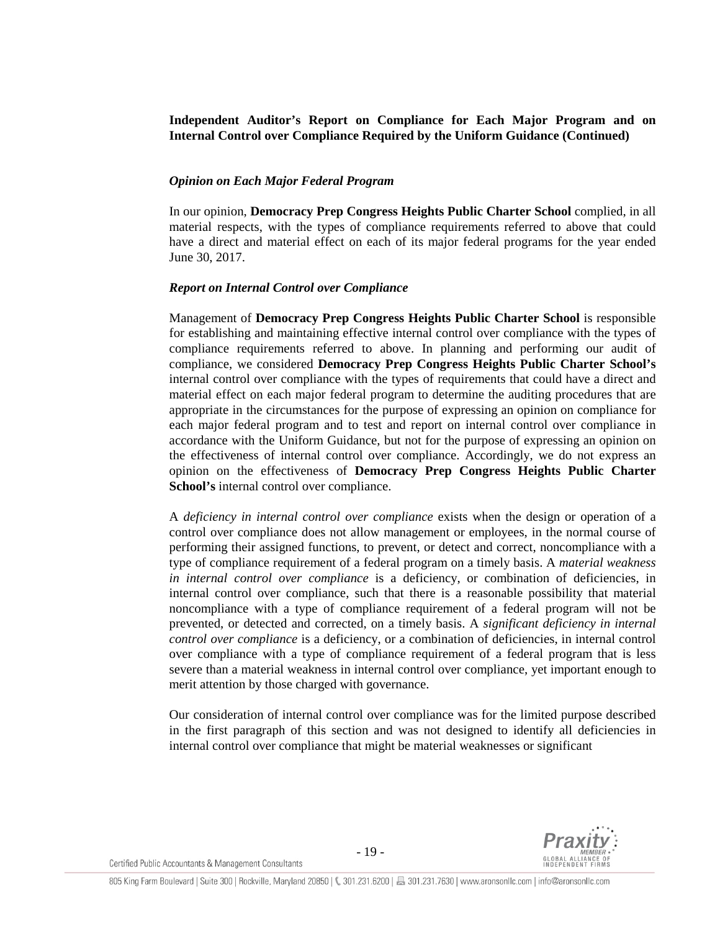**Independent Auditor's Report on Compliance for Each Major Program and on Internal Control over Compliance Required by the Uniform Guidance (Continued)**

#### *Opinion on Each Major Federal Program*

In our opinion, **Democracy Prep Congress Heights Public Charter School** complied, in all material respects, with the types of compliance requirements referred to above that could have a direct and material effect on each of its major federal programs for the year ended June 30, 2017.

#### *Report on Internal Control over Compliance*

Management of **Democracy Prep Congress Heights Public Charter School** is responsible for establishing and maintaining effective internal control over compliance with the types of compliance requirements referred to above. In planning and performing our audit of compliance, we considered **Democracy Prep Congress Heights Public Charter School's** internal control over compliance with the types of requirements that could have a direct and material effect on each major federal program to determine the auditing procedures that are appropriate in the circumstances for the purpose of expressing an opinion on compliance for each major federal program and to test and report on internal control over compliance in accordance with the Uniform Guidance, but not for the purpose of expressing an opinion on the effectiveness of internal control over compliance. Accordingly, we do not express an opinion on the effectiveness of **Democracy Prep Congress Heights Public Charter School's** internal control over compliance.

A *deficiency in internal control over compliance* exists when the design or operation of a control over compliance does not allow management or employees, in the normal course of performing their assigned functions, to prevent, or detect and correct, noncompliance with a type of compliance requirement of a federal program on a timely basis. A *material weakness in internal control over compliance* is a deficiency, or combination of deficiencies, in internal control over compliance, such that there is a reasonable possibility that material noncompliance with a type of compliance requirement of a federal program will not be prevented, or detected and corrected, on a timely basis. A *significant deficiency in internal control over compliance* is a deficiency, or a combination of deficiencies, in internal control over compliance with a type of compliance requirement of a federal program that is less severe than a material weakness in internal control over compliance, yet important enough to merit attention by those charged with governance.

Our consideration of internal control over compliance was for the limited purpose described in the first paragraph of this section and was not designed to identify all deficiencies in internal control over compliance that might be material weaknesses or significant

Certified Public Accountants & Management Consultants

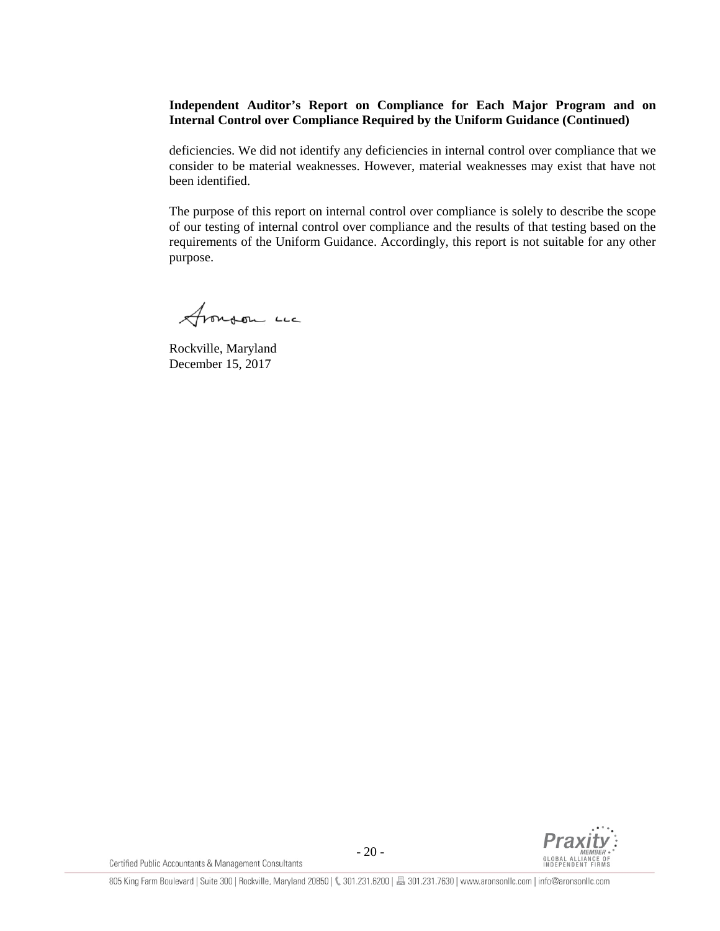### **Independent Auditor's Report on Compliance for Each Major Program and on Internal Control over Compliance Required by the Uniform Guidance (Continued)**

deficiencies. We did not identify any deficiencies in internal control over compliance that we consider to be material weaknesses. However, material weaknesses may exist that have not been identified.

The purpose of this report on internal control over compliance is solely to describe the scope of our testing of internal control over compliance and the results of that testing based on the requirements of the Uniform Guidance. Accordingly, this report is not suitable for any other purpose.

Aronson LL

Rockville, Maryland December 15, 2017



Certified Public Accountants & Management Consultants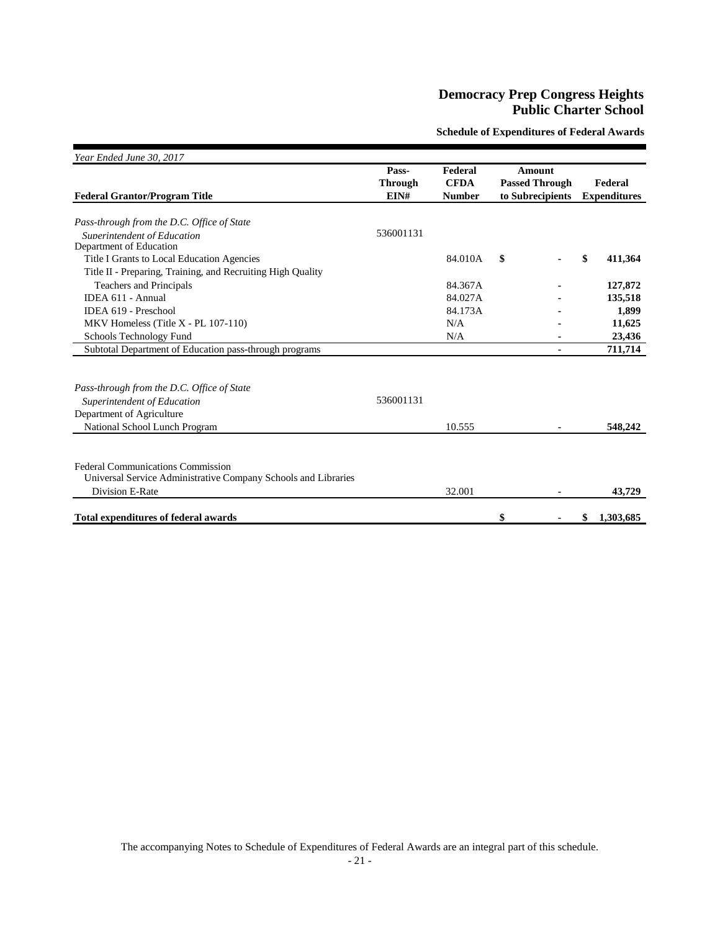**Schedule of Expenditures of Federal Awards**

| Year Ended June 30, 2017                                       |                |               |                       |                     |
|----------------------------------------------------------------|----------------|---------------|-----------------------|---------------------|
|                                                                | Pass-          | Federal       | Amount                |                     |
|                                                                | <b>Through</b> | <b>CFDA</b>   | <b>Passed Through</b> | Federal             |
| <b>Federal Grantor/Program Title</b>                           | EIN#           | <b>Number</b> | to Subrecipients      | <b>Expenditures</b> |
|                                                                |                |               |                       |                     |
| Pass-through from the D.C. Office of State                     |                |               |                       |                     |
| Superintendent of Education                                    | 536001131      |               |                       |                     |
| Department of Education                                        |                |               |                       |                     |
| Title I Grants to Local Education Agencies                     |                | 84.010A       | \$                    | \$<br>411,364       |
| Title II - Preparing, Training, and Recruiting High Quality    |                |               |                       |                     |
| <b>Teachers and Principals</b>                                 |                | 84.367A       |                       | 127,872             |
| IDEA 611 - Annual                                              |                | 84.027A       |                       | 135,518             |
| IDEA 619 - Preschool                                           |                | 84.173A       |                       | 1,899               |
| MKV Homeless (Title $X$ - PL 107-110)                          |                | N/A           |                       | 11,625              |
| Schools Technology Fund                                        |                | N/A           |                       | 23,436              |
| Subtotal Department of Education pass-through programs         |                |               |                       | 711,714             |
|                                                                |                |               |                       |                     |
|                                                                |                |               |                       |                     |
| Pass-through from the D.C. Office of State                     |                |               |                       |                     |
| Superintendent of Education                                    | 536001131      |               |                       |                     |
| Department of Agriculture                                      |                |               |                       |                     |
| National School Lunch Program                                  |                | 10.555        | ۰                     | 548,242             |
|                                                                |                |               |                       |                     |
| <b>Federal Communications Commission</b>                       |                |               |                       |                     |
| Universal Service Administrative Company Schools and Libraries |                |               |                       |                     |
|                                                                |                |               |                       |                     |
| Division E-Rate                                                |                | 32.001        |                       | 43,729              |
| <b>Total expenditures of federal awards</b>                    |                |               | \$                    | \$<br>1,303,685     |

The accompanying Notes to Schedule of Expenditures of Federal Awards are an integral part of this schedule.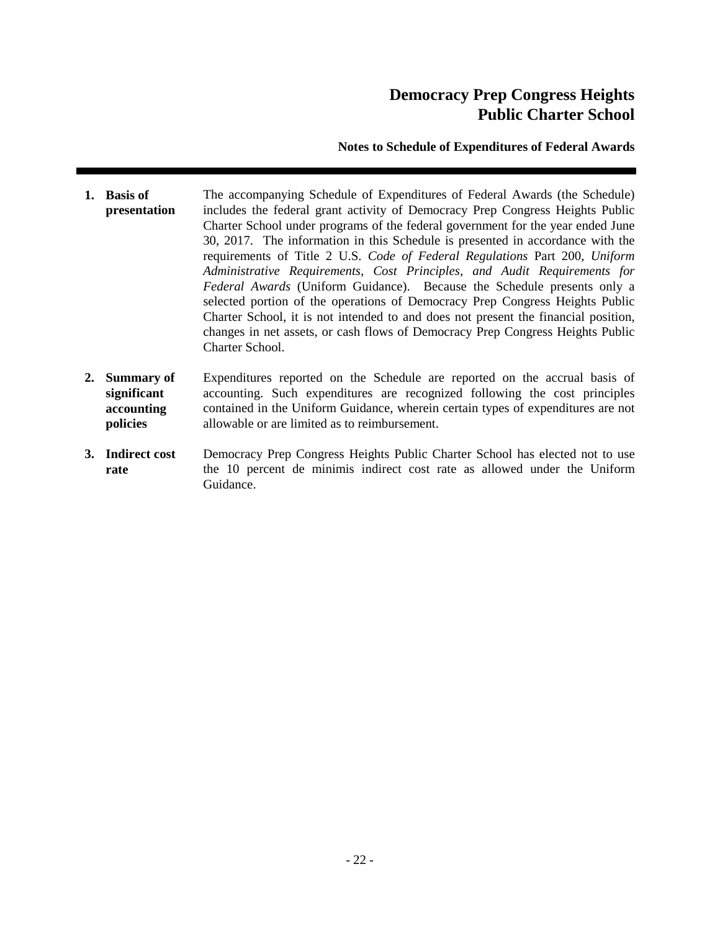### **Notes to Schedule of Expenditures of Federal Awards**

- **1. Basis of presentation** The accompanying Schedule of Expenditures of Federal Awards (the Schedule) includes the federal grant activity of Democracy Prep Congress Heights Public Charter School under programs of the federal government for the year ended June 30, 2017. The information in this Schedule is presented in accordance with the requirements of Title 2 U.S. *Code of Federal Regulations* Part 200, *Uniform Administrative Requirements, Cost Principles, and Audit Requirements for Federal Awards* (Uniform Guidance). Because the Schedule presents only a selected portion of the operations of Democracy Prep Congress Heights Public Charter School, it is not intended to and does not present the financial position, changes in net assets, or cash flows of Democracy Prep Congress Heights Public Charter School.
- **2. Summary of significant accounting policies** Expenditures reported on the Schedule are reported on the accrual basis of accounting. Such expenditures are recognized following the cost principles contained in the Uniform Guidance, wherein certain types of expenditures are not allowable or are limited as to reimbursement.
- **3. Indirect cost rate** Democracy Prep Congress Heights Public Charter School has elected not to use the 10 percent de minimis indirect cost rate as allowed under the Uniform Guidance.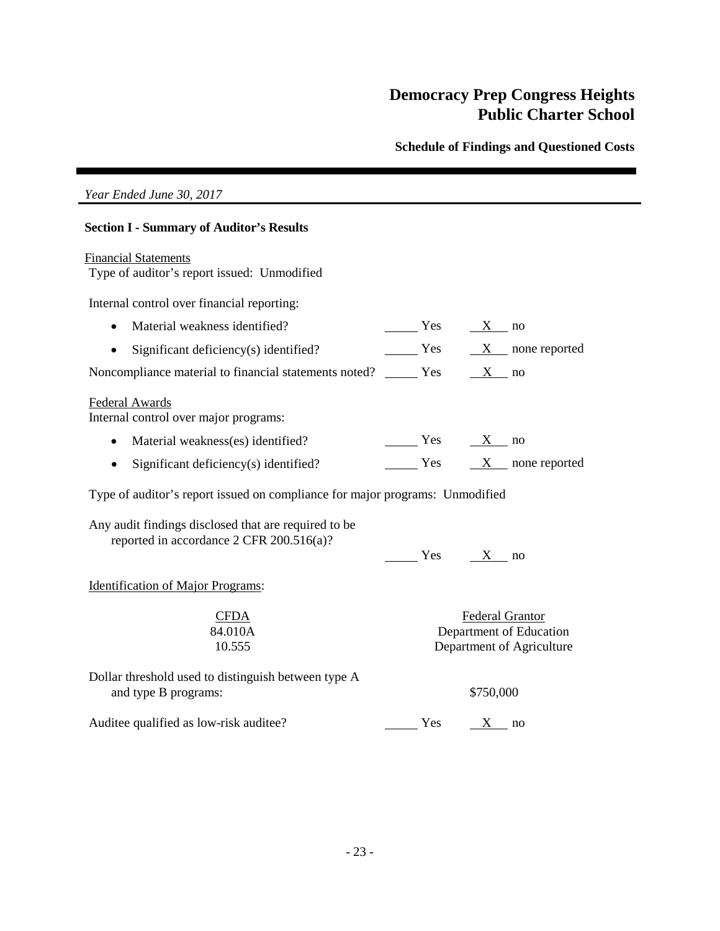**Schedule of Findings and Questioned Costs** 

### *Year Ended June 30, 2017*

#### **Section I - Summary of Auditor's Results**

#### Financial Statements

Type of auditor's report issued: Unmodified

Internal control over financial reporting:

- Material weakness identified?  $Y$ es  $X$  no
- Significant deficiency(s) identified?  $Y$ es  $X$  none reported

Noncompliance material to financial statements noted?  $\frac{\ }{ }$  Yes  $\frac{\ }{ }$  X no

#### Federal Awards

Internal control over major programs:

- Material weakness(es) identified?  $Yes$   $X no$
- Significant deficiency(s) identified?  $Y$ es  $X$  none reported

Type of auditor's report issued on compliance for major programs: Unmodified

Any audit findings disclosed that are required to be reported in accordance 2 CFR 200.516(a)?

|  | $\sim$ |
|--|--------|
|  |        |

Identification of Major Programs:

| CFDA    |
|---------|
| 84.010A |
| 10.555  |

Federal Grantor Department of Education Department of Agriculture

Dollar threshold used to distinguish between type A and type B programs:  $$750,000$ 

Auditee qualified as low-risk auditee?  $\frac{\ }{8}$  Yes  $\frac{X}{X}$  no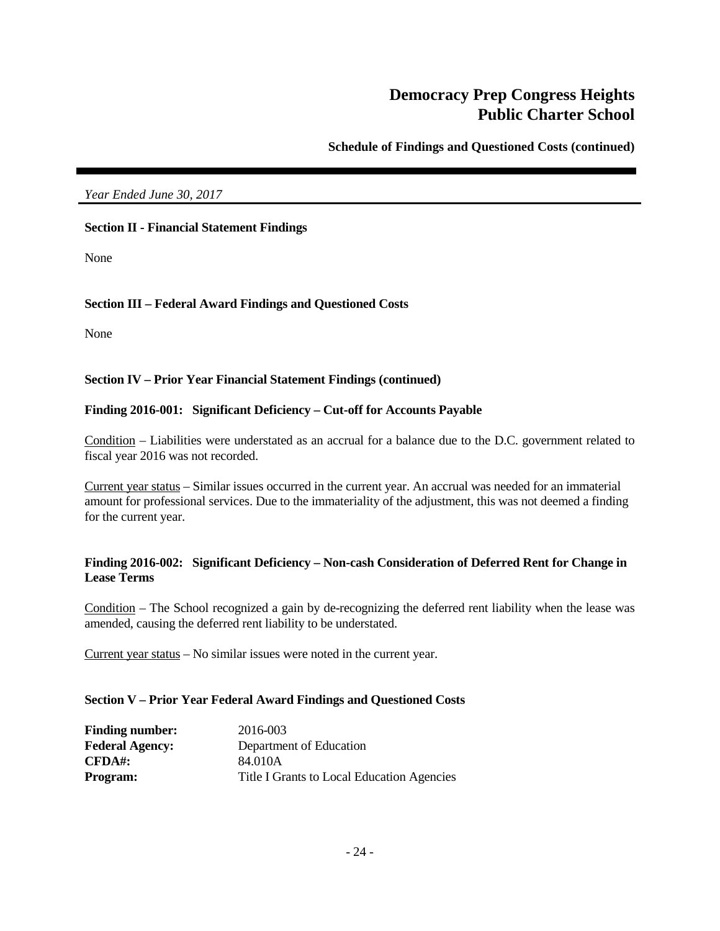**Schedule of Findings and Questioned Costs (continued)**

### *Year Ended June 30, 2017*

### **Section II - Financial Statement Findings**

None

### **Section III – Federal Award Findings and Questioned Costs**

None

#### **Section IV – Prior Year Financial Statement Findings (continued)**

### **Finding 2016-001: Significant Deficiency – Cut-off for Accounts Payable**

Condition – Liabilities were understated as an accrual for a balance due to the D.C. government related to fiscal year 2016 was not recorded.

Current year status – Similar issues occurred in the current year. An accrual was needed for an immaterial amount for professional services. Due to the immateriality of the adjustment, this was not deemed a finding for the current year.

### **Finding 2016-002: Significant Deficiency – Non-cash Consideration of Deferred Rent for Change in Lease Terms**

Condition – The School recognized a gain by de-recognizing the deferred rent liability when the lease was amended, causing the deferred rent liability to be understated.

Current year status – No similar issues were noted in the current year.

#### **Section V – Prior Year Federal Award Findings and Questioned Costs**

| <b>Finding number:</b> | 2016-003                                   |
|------------------------|--------------------------------------------|
| <b>Federal Agency:</b> | Department of Education                    |
| CFDA#                  | 84.010A                                    |
| <b>Program:</b>        | Title I Grants to Local Education Agencies |